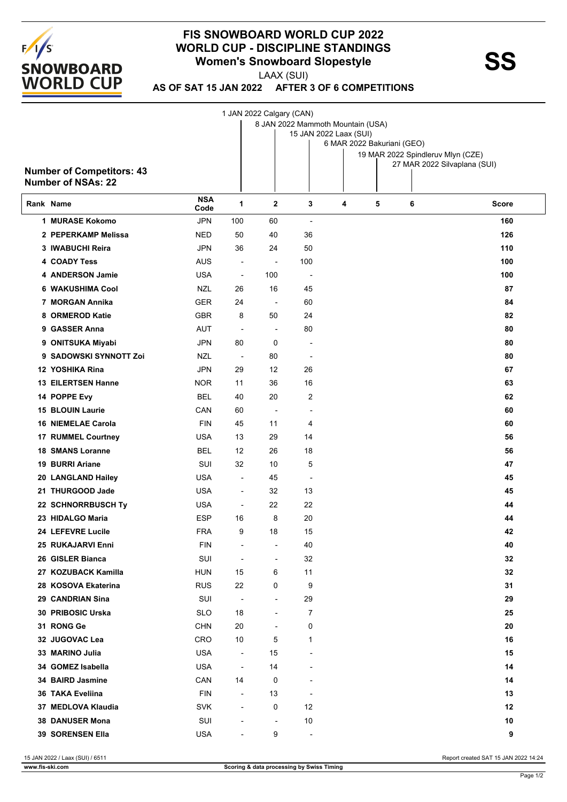

## **FIS SNOWBOARD WORLD CUP 2022 WORLD CUP - DISCIPLINE STANDINGS<br>
Women's Snowboard Slopestyle<br>
Momen's Snowboard Slopestyle**

LAAX (SUI)

**AS OF SAT 15 JAN 2022 AFTER 3 OF 6 COMPETITIONS**

|                                  |                    |                          | 1 JAN 2022 Calgary (CAN) |                                   |                            |   |                                   |       |
|----------------------------------|--------------------|--------------------------|--------------------------|-----------------------------------|----------------------------|---|-----------------------------------|-------|
|                                  |                    |                          |                          | 8 JAN 2022 Mammoth Mountain (USA) |                            |   |                                   |       |
|                                  |                    |                          |                          | 15 JAN 2022 Laax (SUI)            | 6 MAR 2022 Bakuriani (GEO) |   |                                   |       |
|                                  |                    |                          |                          |                                   |                            |   | 19 MAR 2022 Spindleruv Mlyn (CZE) |       |
|                                  |                    |                          |                          |                                   |                            |   | 27 MAR 2022 Silvaplana (SUI)      |       |
| <b>Number of Competitors: 43</b> |                    |                          |                          |                                   |                            |   |                                   |       |
| <b>Number of NSAs: 22</b>        |                    |                          |                          |                                   |                            |   |                                   |       |
| Rank Name                        | <b>NSA</b><br>Code | 1                        | $\mathbf 2$              | 3                                 | 4                          | 5 | 6                                 | Score |
| 1 MURASE Kokomo                  | <b>JPN</b>         | 100                      | 60                       | $\overline{\phantom{a}}$          |                            |   |                                   | 160   |
| 2 PEPERKAMP Melissa              | <b>NED</b>         | 50                       | 40                       | 36                                |                            |   |                                   | 126   |
| 3 IWABUCHI Reira                 | <b>JPN</b>         | 36                       | 24                       | 50                                |                            |   |                                   | 110   |
| <b>4 COADY Tess</b>              | AUS                | $\overline{\phantom{a}}$ | $\blacksquare$           | 100                               |                            |   |                                   | 100   |
| 4 ANDERSON Jamie                 | <b>USA</b>         | $\overline{\phantom{a}}$ | 100                      | $\overline{\phantom{a}}$          |                            |   |                                   | 100   |
| <b>6 WAKUSHIMA Cool</b>          | <b>NZL</b>         | 26                       | 16                       | 45                                |                            |   |                                   | 87    |
| 7 MORGAN Annika                  | <b>GER</b>         | 24                       | $\overline{\phantom{a}}$ | 60                                |                            |   |                                   | 84    |
| 8 ORMEROD Katie                  | <b>GBR</b>         | 8                        | 50                       | 24                                |                            |   |                                   | 82    |
| 9 GASSER Anna                    | AUT                | $\overline{\phantom{a}}$ | $\overline{\phantom{a}}$ | 80                                |                            |   |                                   | 80    |
| 9 ONITSUKA Miyabi                | <b>JPN</b>         | 80                       | 0                        | $\overline{\phantom{a}}$          |                            |   |                                   | 80    |
| 9 SADOWSKI SYNNOTT Zoi           | NZL                | $\overline{\phantom{a}}$ | 80                       | $\overline{\phantom{a}}$          |                            |   |                                   | 80    |
| 12 YOSHIKA Rina                  | <b>JPN</b>         | 29                       | 12                       | 26                                |                            |   |                                   | 67    |
| <b>13 EILERTSEN Hanne</b>        | <b>NOR</b>         | 11                       | 36                       | 16                                |                            |   |                                   | 63    |
| 14 POPPE Evy                     | <b>BEL</b>         | 40                       | 20                       | 2                                 |                            |   |                                   | 62    |
| <b>15 BLOUIN Laurie</b>          | CAN                | 60                       | $\overline{a}$           | $\blacksquare$                    |                            |   |                                   | 60    |
|                                  | <b>FIN</b>         | 45                       |                          |                                   |                            |   |                                   |       |
| <b>16 NIEMELAE Carola</b>        |                    |                          | 11                       | 4                                 |                            |   |                                   | 60    |
| 17 RUMMEL Courtney               | USA                | 13                       | 29                       | 14                                |                            |   |                                   | 56    |
| <b>18 SMANS Loranne</b>          | <b>BEL</b>         | 12                       | 26                       | 18                                |                            |   |                                   | 56    |
| <b>19 BURRI Ariane</b>           | SUI                | 32                       | 10                       | 5                                 |                            |   |                                   | 47    |
| 20 LANGLAND Hailey               | USA                | $\overline{\phantom{a}}$ | 45                       | $\overline{\phantom{a}}$          |                            |   |                                   | 45    |
| 21 THURGOOD Jade                 | <b>USA</b>         | $\overline{\phantom{a}}$ | 32                       | 13                                |                            |   |                                   | 45    |
| 22 SCHNORRBUSCH Ty               | USA                | $\overline{\phantom{a}}$ | 22                       | 22                                |                            |   |                                   | 44    |
| 23 HIDALGO Maria                 | <b>ESP</b>         | 16                       | 8                        | 20                                |                            |   |                                   | 44    |
| 24 LEFEVRE Lucile                | <b>FRA</b>         | 9                        | 18                       | 15                                |                            |   |                                   | 42    |
| 25 RUKAJARVI Enni                | <b>FIN</b>         |                          | $\overline{\phantom{a}}$ | 40                                |                            |   |                                   | 40    |
| 26 GISLER Bianca                 | SUI                | $\overline{\phantom{a}}$ | $\overline{\phantom{a}}$ | 32                                |                            |   |                                   | 32    |
| 27 KOZUBACK Kamilla              | <b>HUN</b>         | 15                       | 6                        | 11                                |                            |   |                                   | 32    |
| 28 KOSOVA Ekaterina              | <b>RUS</b>         | 22                       | 0                        | 9                                 |                            |   |                                   | 31    |
| 29 CANDRIAN Sina                 | SUI                | $\overline{\phantom{a}}$ | $\overline{a}$           | 29                                |                            |   |                                   | 29    |
| 30 PRIBOSIC Urska                | SLO                | 18                       | $\blacksquare$           | 7                                 |                            |   |                                   | 25    |
| 31 RONG Ge                       | <b>CHN</b>         | 20                       |                          | 0                                 |                            |   |                                   | 20    |
| 32 JUGOVAC Lea                   | <b>CRO</b>         | 10                       | 5                        | 1                                 |                            |   |                                   | 16    |
| 33 MARINO Julia                  | <b>USA</b>         | $\overline{\phantom{a}}$ | 15                       | $\overline{\phantom{a}}$          |                            |   |                                   | 15    |
| 34 GOMEZ Isabella                | <b>USA</b>         | $\overline{\phantom{a}}$ | 14                       |                                   |                            |   |                                   | 14    |
| 34 BAIRD Jasmine                 | CAN                | 14                       | 0                        |                                   |                            |   |                                   | 14    |
| 36 TAKA Eveliina                 | <b>FIN</b>         | $\overline{\phantom{a}}$ | 13                       | $\overline{\phantom{a}}$          |                            |   |                                   | 13    |
| 37 MEDLOVA Klaudia               | <b>SVK</b>         | $\overline{\phantom{a}}$ | 0                        | 12                                |                            |   |                                   | 12    |
| <b>38 DANUSER Mona</b>           | SUI                | $\overline{\phantom{a}}$ | $\overline{\phantom{a}}$ | 10                                |                            |   |                                   | 10    |
| 39 SORENSEN Ella                 | <b>USA</b>         | $\blacksquare$           | 9                        | $\overline{\phantom{a}}$          |                            |   |                                   | 9     |
|                                  |                    |                          |                          |                                   |                            |   |                                   |       |

15 JAN 2022 / Laax (SUI) / 6511 Report created SAT 15 JAN 2022 14:24